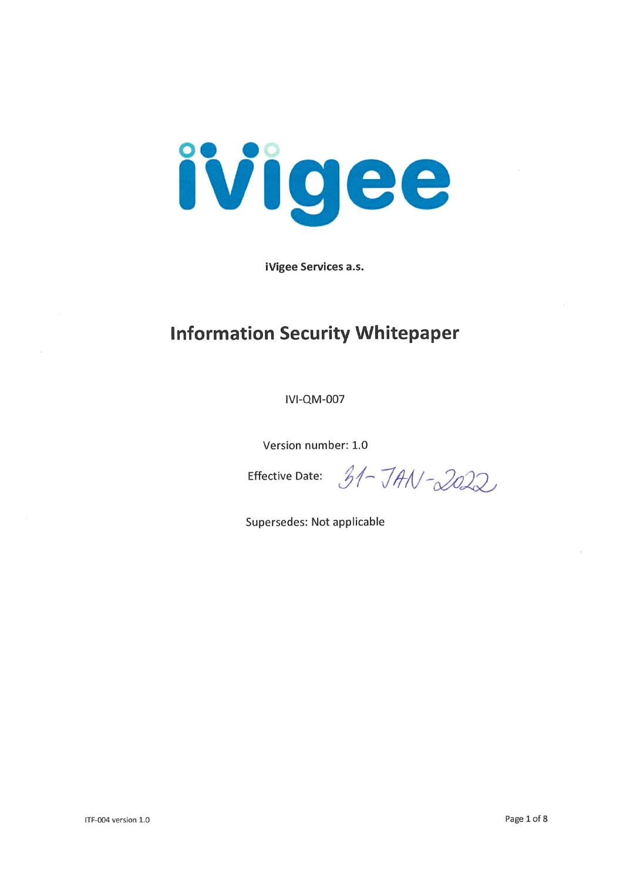

iVigee Services a.s.

# **Information Security Whitepaper**

**IVI-QM-007** 

Version number: 1.0

Effective Date:  $31 - JAN - 2022$ 

Supersedes: Not applicable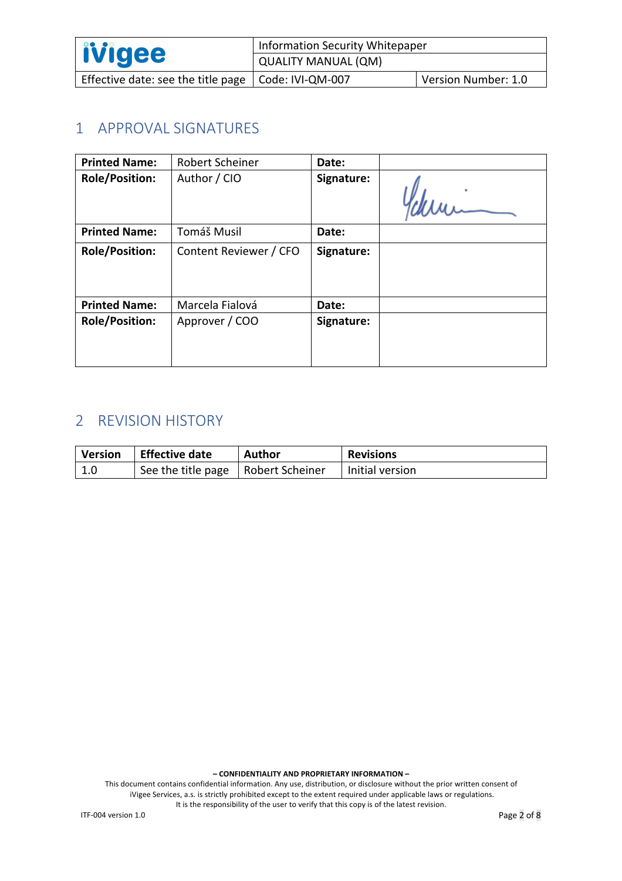| <i><b>ivigee</b></i>                                  | <b>Information Security Whitepaper</b> |                     |
|-------------------------------------------------------|----------------------------------------|---------------------|
|                                                       | QUALITY MANUAL (QM)                    |                     |
| Effective date: see the title page   Code: IVI-QM-007 |                                        | Version Number: 1.0 |

## 1 APPROVAL SIGNATURES

| <b>Printed Name:</b>  | Robert Scheiner        | Date:      |                                                                                                      |
|-----------------------|------------------------|------------|------------------------------------------------------------------------------------------------------|
| <b>Role/Position:</b> | Author / CIO           | Signature: | Digitally signed by<br>Robert<br><b>Robert Scheiner</b><br>Schleiner-3:37:58+01'00'                  |
| <b>Printed Name:</b>  | Tomáš Musil            | Date:      |                                                                                                      |
| <b>Role/Position:</b> | Content Reviewer / CFO | Signature: | Digitally signed by<br>Tomas<br><b>Tomas Musil</b><br>Date: 2022.01.28<br>Musil<br>14:07:35 +01'00'  |
| <b>Printed Name:</b>  | Marcela Fialová        | Date:      |                                                                                                      |
| <b>Role/Position:</b> | Approver / COO         | Signature: | Digitally signed by<br>Marcela<br>Marcela Fialova<br>Date: 2022.01.28<br>Fialova<br>14:10:06 +01'00' |

## 2 REVISION HISTORY

| <b>Version</b> | Effective date                       | Author | <b>Revisions</b> |
|----------------|--------------------------------------|--------|------------------|
| -1.0           | See the title page   Robert Scheiner |        | Initial version  |

**– CONFIDENTIALITY AND PROPRIETARY INFORMATION –**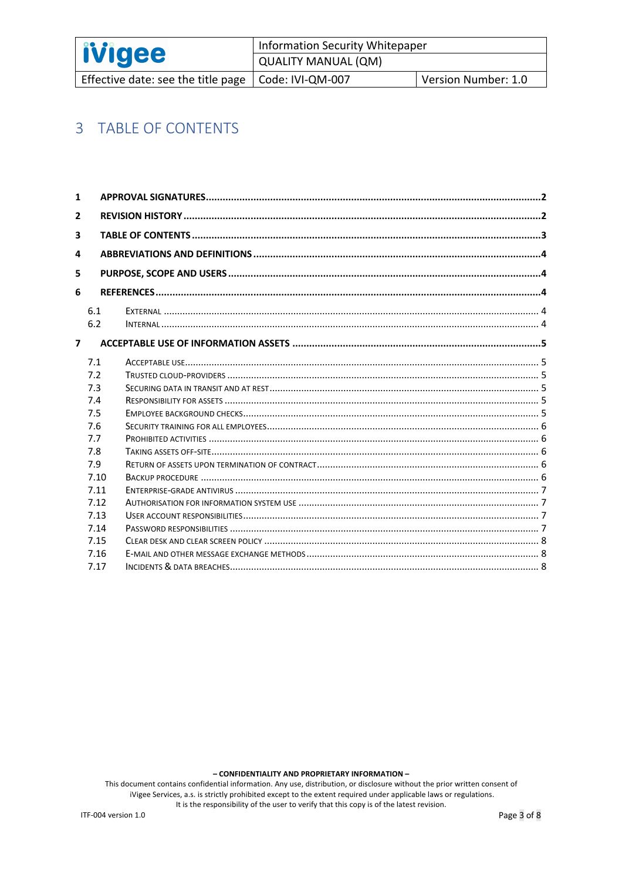| <b>ivigee</b>                                               | Information Security Whitepaper |                     |
|-------------------------------------------------------------|---------------------------------|---------------------|
|                                                             | QUALITY MANUAL (QM)             |                     |
| Effective date: see the title page $\vert$ Code: IVI-QM-007 |                                 | Version Number: 1.0 |

## 3 TABLE OF CONTENTS

| $\mathbf{1}$   |            |  |  |  |
|----------------|------------|--|--|--|
| $\mathbf{2}$   |            |  |  |  |
| 3              |            |  |  |  |
| 4              |            |  |  |  |
| 5              |            |  |  |  |
| 6              |            |  |  |  |
|                | 6.1<br>6.2 |  |  |  |
| $\overline{7}$ |            |  |  |  |
|                | 7.1        |  |  |  |
|                | 7.2        |  |  |  |
|                | 7.3        |  |  |  |
|                | 7.4        |  |  |  |
|                | 7.5        |  |  |  |
|                | 7.6        |  |  |  |
|                | 7.7        |  |  |  |
|                | 7.8        |  |  |  |
|                | 7.9        |  |  |  |
|                | 7.10       |  |  |  |
|                | 7.11       |  |  |  |
|                | 7.12       |  |  |  |
|                | 7.13       |  |  |  |
|                | 7.14       |  |  |  |
|                | 7.15       |  |  |  |
|                | 7.16       |  |  |  |
|                | 7.17       |  |  |  |

- CONFIDENTIALITY AND PROPRIETARY INFORMATION -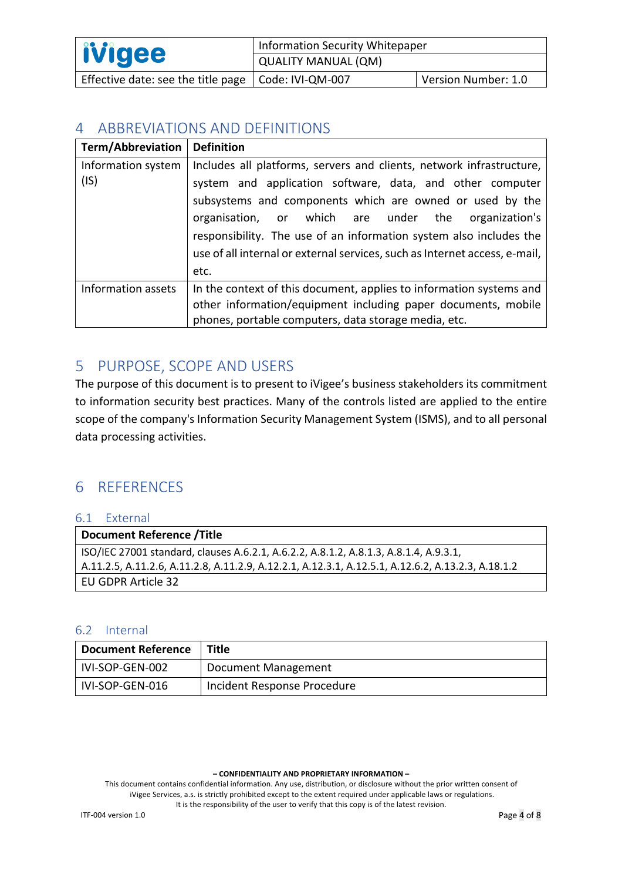| <i><b>livigee</b></i>                                       | Information Security Whitepaper |                     |
|-------------------------------------------------------------|---------------------------------|---------------------|
|                                                             | QUALITY MANUAL (QM)             |                     |
| Effective date: see the title page $\vert$ Code: IVI-QM-007 |                                 | Version Number: 1.0 |

## 4 ABBREVIATIONS AND DEFINITIONS

| <b>Term/Abbreviation</b> | <b>Definition</b>                                                          |  |  |
|--------------------------|----------------------------------------------------------------------------|--|--|
| Information system       | Includes all platforms, servers and clients, network infrastructure,       |  |  |
| (IS)                     | system and application software, data, and other computer                  |  |  |
|                          | subsystems and components which are owned or used by the                   |  |  |
|                          | organisation, or which are under the organization's                        |  |  |
|                          | responsibility. The use of an information system also includes the         |  |  |
|                          | use of all internal or external services, such as Internet access, e-mail, |  |  |
|                          | etc.                                                                       |  |  |
| Information assets       | In the context of this document, applies to information systems and        |  |  |
|                          | other information/equipment including paper documents, mobile              |  |  |
|                          | phones, portable computers, data storage media, etc.                       |  |  |

## 5 PURPOSE, SCOPE AND USERS

The purpose of this document is to present to iVigee's business stakeholders its commitment to information security best practices. Many of the controls listed are applied to the entire scope of the company's Information Security Management System (ISMS), and to all personal data processing activities.

## 6 REFERENCES

| 6.1 External                                                                                       |  |
|----------------------------------------------------------------------------------------------------|--|
| Document Reference /Title                                                                          |  |
| ISO/IEC 27001 standard, clauses A.6.2.1, A.6.2.2, A.8.1.2, A.8.1.3, A.8.1.4, A.9.3.1,              |  |
| A.11.2.5, A.11.2.6, A.11.2.8, A.11.2.9, A.12.2.1, A.12.3.1, A.12.5.1, A.12.6.2, A.13.2.3, A.18.1.2 |  |
| EU GDPR Article 32                                                                                 |  |

### 6.2 Internal

| <b>Document Reference</b> | Title                       |
|---------------------------|-----------------------------|
| IVI-SOP-GEN-002           | Document Management         |
| IVI-SOP-GEN-016           | Incident Response Procedure |

**– CONFIDENTIALITY AND PROPRIETARY INFORMATION –**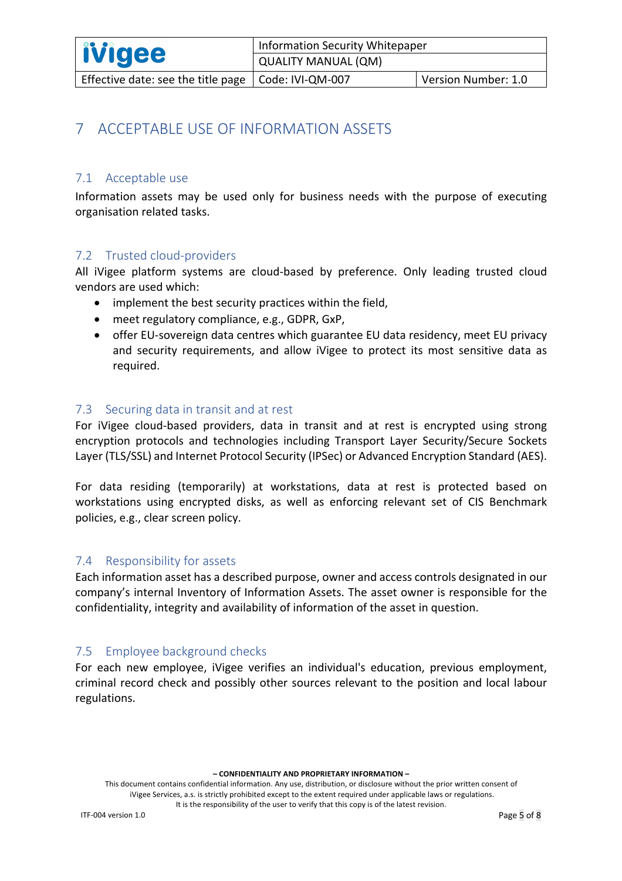## 7 ACCEPTABLE USE OF INFORMATION ASSETS

### 7.1 Acceptable use

Information assets may be used only for business needs with the purpose of executing organisation related tasks.

### 7.2 Trusted cloud-providers

All iVigee platform systems are cloud-based by preference. Only leading trusted cloud vendors are used which:

- implement the best security practices within the field,
- meet regulatory compliance, e.g., GDPR, GxP,
- offer EU-sovereign data centres which guarantee EU data residency, meet EU privacy and security requirements, and allow iVigee to protect its most sensitive data as required.

#### 7.3 Securing data in transit and at rest

For iVigee cloud-based providers, data in transit and at rest is encrypted using strong encryption protocols and technologies including Transport Layer Security/Secure Sockets Layer (TLS/SSL) and Internet Protocol Security (IPSec) or Advanced Encryption Standard (AES).

For data residing (temporarily) at workstations, data at rest is protected based on workstations using encrypted disks, as well as enforcing relevant set of CIS Benchmark policies, e.g., clear screen policy.

#### 7.4 Responsibility for assets

Each information asset has a described purpose, owner and access controls designated in our company's internal Inventory of Information Assets. The asset owner is responsible for the confidentiality, integrity and availability of information of the asset in question.

### 7.5 Employee background checks

For each new employee, iVigee verifies an individual's education, previous employment, criminal record check and possibly other sources relevant to the position and local labour regulations.

**– CONFIDENTIALITY AND PROPRIETARY INFORMATION –**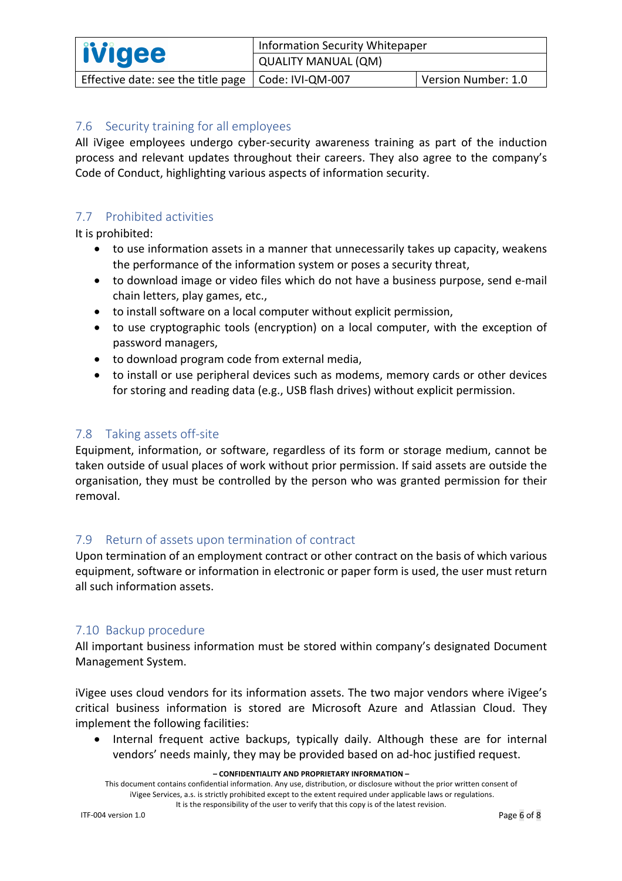| <b>ivigee</b>                                         | <b>Information Security Whitepaper</b> |                     |
|-------------------------------------------------------|----------------------------------------|---------------------|
|                                                       | QUALITY MANUAL (QM)                    |                     |
| Effective date: see the title page   Code: IVI-QM-007 |                                        | Version Number: 1.0 |

## 7.6 Security training for all employees

All iVigee employees undergo cyber-security awareness training as part of the induction process and relevant updates throughout their careers. They also agree to the company's Code of Conduct, highlighting various aspects of information security.

## 7.7 Prohibited activities

It is prohibited:

- to use information assets in a manner that unnecessarily takes up capacity, weakens the performance of the information system or poses a security threat,
- to download image or video files which do not have a business purpose, send e-mail chain letters, play games, etc.,
- to install software on a local computer without explicit permission,
- to use cryptographic tools (encryption) on a local computer, with the exception of password managers,
- to download program code from external media,
- to install or use peripheral devices such as modems, memory cards or other devices for storing and reading data (e.g., USB flash drives) without explicit permission.

### 7.8 Taking assets off-site

Equipment, information, or software, regardless of its form or storage medium, cannot be taken outside of usual places of work without prior permission. If said assets are outside the organisation, they must be controlled by the person who was granted permission for their removal.

## 7.9 Return of assets upon termination of contract

Upon termination of an employment contract or other contract on the basis of which various equipment, software or information in electronic or paper form is used, the user must return all such information assets.

### 7.10 Backup procedure

All important business information must be stored within company's designated Document Management System.

iVigee uses cloud vendors for its information assets. The two major vendors where iVigee's critical business information is stored are Microsoft Azure and Atlassian Cloud. They implement the following facilities:

• Internal frequent active backups, typically daily. Although these are for internal vendors' needs mainly, they may be provided based on ad-hoc justified request.

#### **– CONFIDENTIALITY AND PROPRIETARY INFORMATION –**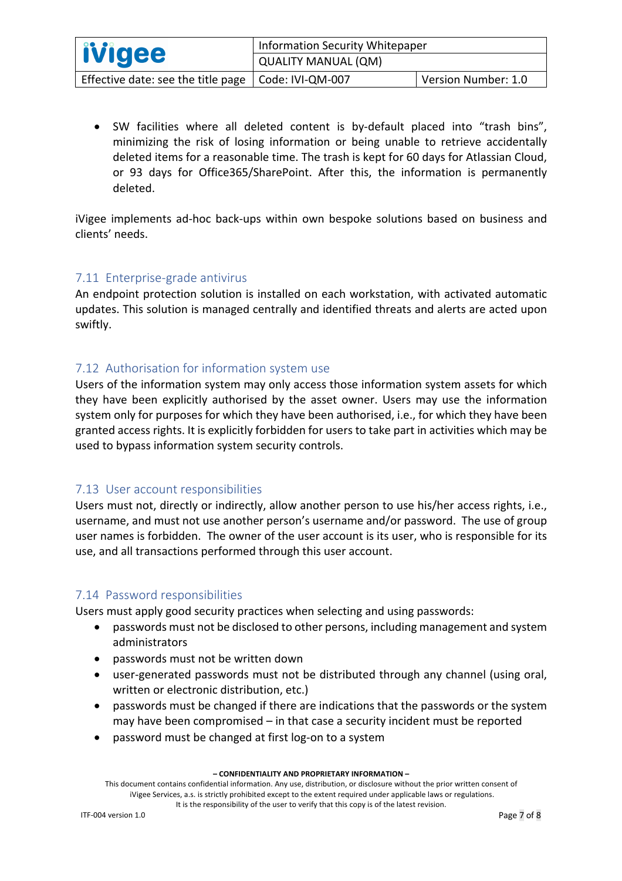| <b>ivigee</b>                                               | Information Security Whitepaper |                     |
|-------------------------------------------------------------|---------------------------------|---------------------|
|                                                             | <b>QUALITY MANUAL (QM)</b>      |                     |
| Effective date: see the title page $\vert$ Code: IVI-QM-007 |                                 | Version Number: 1.0 |

• SW facilities where all deleted content is by-default placed into "trash bins", minimizing the risk of losing information or being unable to retrieve accidentally deleted items for a reasonable time. The trash is kept for 60 days for Atlassian Cloud, or 93 days for Office365/SharePoint. After this, the information is permanently deleted.

iVigee implements ad-hoc back-ups within own bespoke solutions based on business and clients' needs.

## 7.11 Enterprise-grade antivirus

An endpoint protection solution is installed on each workstation, with activated automatic updates. This solution is managed centrally and identified threats and alerts are acted upon swiftly.

## 7.12 Authorisation for information system use

Users of the information system may only access those information system assets for which they have been explicitly authorised by the asset owner. Users may use the information system only for purposes for which they have been authorised, i.e., for which they have been granted access rights. It is explicitly forbidden for users to take part in activities which may be used to bypass information system security controls.

### 7.13 User account responsibilities

Users must not, directly or indirectly, allow another person to use his/her access rights, i.e., username, and must not use another person's username and/or password. The use of group user names is forbidden. The owner of the user account is its user, who is responsible for its use, and all transactions performed through this user account.

### 7.14 Password responsibilities

Users must apply good security practices when selecting and using passwords:

- passwords must not be disclosed to other persons, including management and system administrators
- passwords must not be written down
- user-generated passwords must not be distributed through any channel (using oral, written or electronic distribution, etc.)
- passwords must be changed if there are indications that the passwords or the system may have been compromised – in that case a security incident must be reported
- password must be changed at first log-on to a system

**– CONFIDENTIALITY AND PROPRIETARY INFORMATION –**